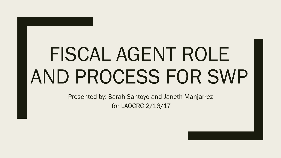# FISCAL AGENT ROLE AND PROCESS FOR SWP

Presented by: Sarah Santoyo and Janeth Manjarrez for LAOCRC 2/16/17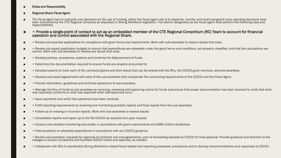#### ■ Roles and Responsibility

#### ■ Regional Share Fiscal Agent

- The fiscal agent has no authority over decisions on the use of funding, rather the fiscal agent role is to dispense, monitor and audit sub-grants once spending decisions have been authorized by the CTE Regional Consortia as stipulated in Strong Workforce legislation. The district designated as the fiscal agent shall perform the following roles and responsibilities:
- • Provide a single-point of contact to act as an embedded member of the CTE Regional Consortium (RC) Team to account for financial operation and control associated with the Regional Share.
- • Review sub-awardee applications for compliance with grant terms and requirements. Work with sub-awardees to resolve issues that arise.
- • Review sub-award application budgets to ensure that expenditures are allowable under the grant terms and conditions, are properly classified, and that the calculations are correct. Work with sub-awardees to resolve any issues that arise.
- • Develop policies, procedures, systems and timelines for disbursement of funds.
- • Determine the documentation required to ensure funds are properly accounted for
- • Develop systems to track each of the contracts/grants and their status that can be shared with the RCs, the CCCCO grant monitors, and sub-awardees.
- • Develop sub-award agreements with each of the sub-awardees that incorporate the contracting requirements of the CCCCO and the Fiscal Agent.
- • Provide information, guidelines and technical assistance to sub-awardees.
- • Manage the flow of funds to sub-awardees by receiving, reviewing and approving claims for funds and ensure that proper documentation has been received to verify that what was requested conforms to what was approved when discrepancies occur.
- • Issue payments and verify that payments have been received.
- • Fulfill reporting requirements by receiving and monitoring quarterly reports and final reports from the sub-awardees.
- • Follow-up on missing or incorrect reports. Work with sub-awardees to resolve issues.
- • Consolidate reports and report up to the RC/CCCCO as required and upon request.
- • Conduct sub-recipient monitoring and audits, in accordance with grant requirements and OMB Uniform Guidelines.
- • Field questions on allowable expenditures in accordance with any CCCCO guidance
- • Review sub-awardees' requests for approval of contracts and sub-agreements, prior to forwarding requests to CCCCO for final approval. Provide guidance and direction to the colleges to ensure compliance and facilitate CCCCO review and approval, as needed.
- • Collaborate with RCs to standardize Strong Workforce related fiscal related and reporting processed, procedures and to develop recommendations and responses to CCCCO.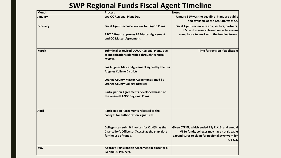#### **SWP Regional Funds Fiscal Agent Timeline**

| Month        | <b>Process</b>                                                                                                              | <b>Notes</b>                                                                                                                                              |
|--------------|-----------------------------------------------------------------------------------------------------------------------------|-----------------------------------------------------------------------------------------------------------------------------------------------------------|
| January      | LA/ OC Regional Plans Due                                                                                                   | January 31 <sup>st</sup> was the deadline- Plans are public<br>and available at the LAOCRC website.                                                       |
| February     | Fiscal Agent technical review for LA/OC Plans                                                                               | Fiscal Agent reviews criteria, sectors, partners,<br>LMI and measurable outcomes to ensure                                                                |
|              | <b>RSCCD Board approves LA Master Agreement</b><br>and OC Master Agreement.                                                 | compliance to work with the funding terms.                                                                                                                |
| March        | Submittal of revised LA/OC Regional Plans, due<br>to modifications identified through technical<br>review.                  | Time for revision if applicable                                                                                                                           |
|              | Los Angeles Master Agreement signed by the Los<br><b>Angeles College Districts.</b>                                         |                                                                                                                                                           |
|              | <b>Orange County Master Agreement signed by</b><br><b>Orange County College Districts</b>                                   |                                                                                                                                                           |
|              | Participation Agreements developed based on<br>the revised LA/OC Regional Plans.                                            |                                                                                                                                                           |
| <b>April</b> | Participation Agreements released to the<br>colleges for authorization signatures.                                          |                                                                                                                                                           |
|              | Colleges can submit invoices for Q1-Q3, as the<br>Chancellor's Office set 7/1/16 as the start date<br>for the use of funds. | Given CTE EF, which ended 12/31/16, and annual<br>VTEA funds, colleges may have not sizeable<br>expenditures to claim for Regional SWP work for<br>Q1-Q3. |
| May          | Approve Participation Agreement in place for all<br>LA and OC Projects.                                                     |                                                                                                                                                           |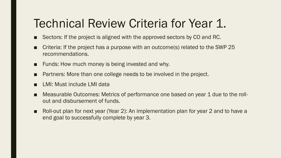## Technical Review Criteria for Year 1.

- Sectors: If the project is aligned with the approved sectors by CO and RC.
- Criteria: If the project has a purpose with an outcome(s) related to the SWP 25 recommendations.
- Funds: How much money is being invested and why.
- Partners: More than one college needs to be involved in the project.
- LMI: Must include LMI data
- Measurable Outcomes: Metrics of performance one based on year 1 due to the rollout and disbursement of funds.
- Roll-out plan for next year (Year 2): An implementation plan for year 2 and to have a end goal to successfully complete by year 3.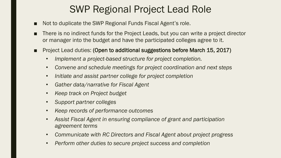#### SWP Regional Project Lead Role

- Not to duplicate the SWP Regional Funds Fiscal Agent's role.
- There is no indirect funds for the Project Leads, but you can write a project director or manager into the budget and have the participated colleges agree to it.
- Project Lead duties: (Open to additional suggestions before March 15, 2017)
	- *Implement a project-based structure for project completion.*
	- *Convene and schedule meetings for project coordination and next steps*
	- *Initiate and assist partner college for project completion*
	- *Gather data/narrative for Fiscal Agent*
	- *Keep track on Project budget*
	- *Support partner colleges*
	- *Keep records of performance outcomes*
	- *Assist Fiscal Agent in ensuring compliance of grant and participation agreement terms*
	- *Communicate with RC Directors and Fiscal Agent about project progress*
	- *Perform other duties to secure project success and completion*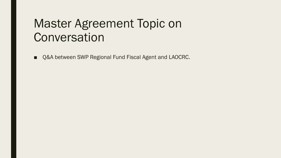### Master Agreement Topic on **Conversation**

■ Q&A between SWP Regional Fund Fiscal Agent and LAOCRC.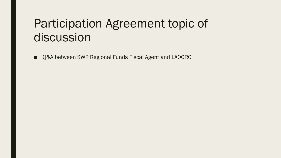## Participation Agreement topic of discussion

■ Q&A between SWP Regional Funds Fiscal Agent and LAOCRC